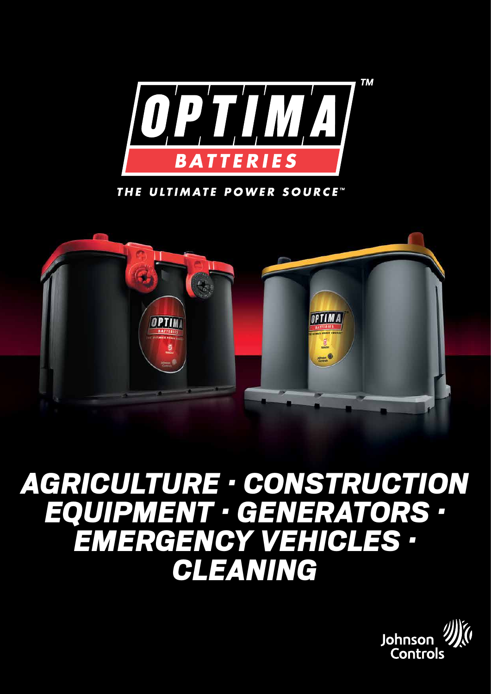

THE ULTIMATE POWER SOURCE"



# *agriculture · construction EQUIPMENT · generators · emergency vehicles · CLEANING*

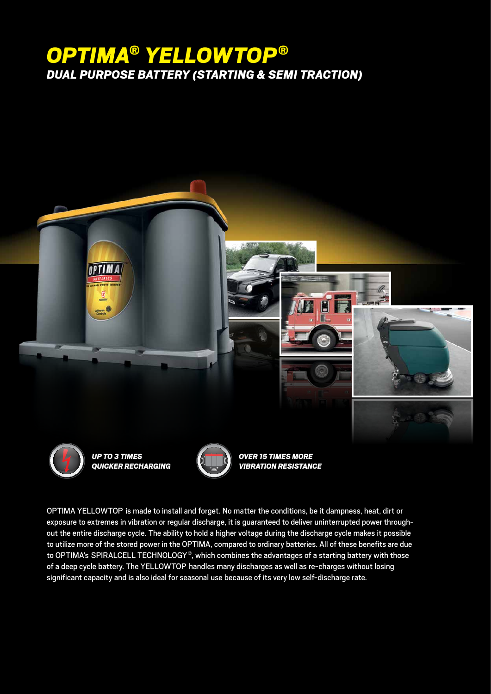# *OPTIMA® YELLOWTOP® DUAL PURPOSE BATTERY (STARTING & SEMI TRACTION)*



Optima YellowTop is made to install and forget. No matter the conditions, be it dampness, heat, dirt or exposure to extremes in vibration or regular discharge, it is guaranteed to deliver uninterrupted power throughout the entire discharge cycle. The ability to hold a higher voltage during the discharge cycle makes it possible to utilize more of the stored power in the OPTIMA, compared to ordinary batteries. All of these benefits are due to OPTIMA's SPIRALCELL TECHNOLOGY®, which combines the advantages of a starting battery with those of a deep cycle battery. The YellowTop handles many discharges as well as re-charges without losing significant capacity and is also ideal for seasonal use because of its very low self-discharge rate.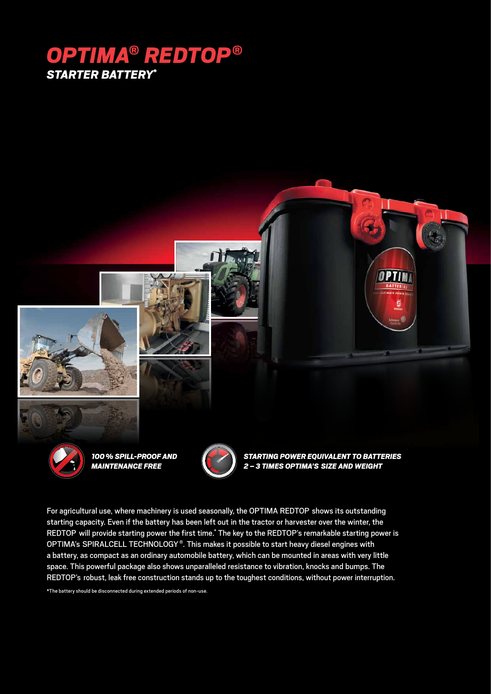# *OPTIMA® REDTOP® STARTER BATTERY\**



*100% spill-proof and maintenance free*



*Starting power equivalent to batteries 2 – 3 times OPTIMA's size and weight*

OPTIN

For agricultural use, where machinery is used seasonally, the OPTIMA REDTOP shows its outstanding starting capacity. Even if the battery has been left out in the tractor or harvester over the winter, the REDTOP will provide starting power the first time.\* The key to the REDTOP's remarkable starting power is OPTIMA's SPIRALCELL TECHNOLOGY®. This makes it possible to start heavy diesel engines with a battery, as compact as an ordinary automobile battery, which can be mounted in areas with very little space. This powerful package also shows unparalleled resistance to vibration, knocks and bumps. The REDTOP's robust, leak free construction stands up to the toughest conditions, without power interruption.

\*The battery should be disconnected during extended periods of non-use.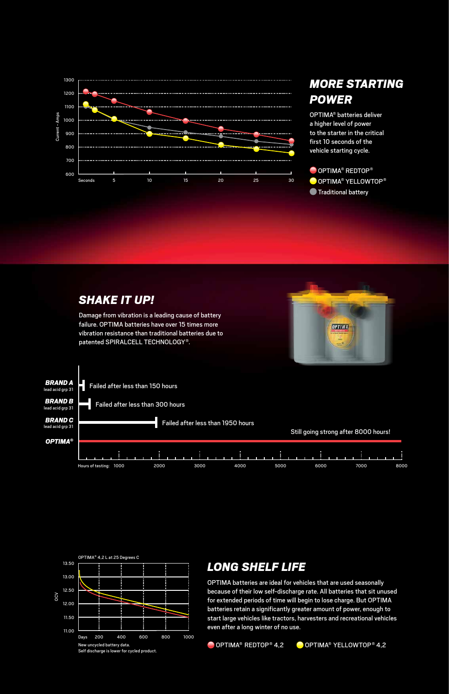

### *More starting power*

OPTIMA® batteries deliver a higher level of power to the starter in the critical first 10 seconds of the vehicle starting cycle.

OPTIMA<sup>®</sup> REDTOP<sup>®</sup> OPTIMA® YellowTop® **Traditional battery** 





#### *Long shelf life*

OPTIMA batteries are ideal for vehicles that are used seasonally because of their low self-discharge rate. All batteries that sit unused for extended periods of time will begin to lose charge. But OPTIMA batteries retain a significantly greater amount of power, enough to start large vehicles like tractors, harvesters and recreational vehicles even after a long winter of no use.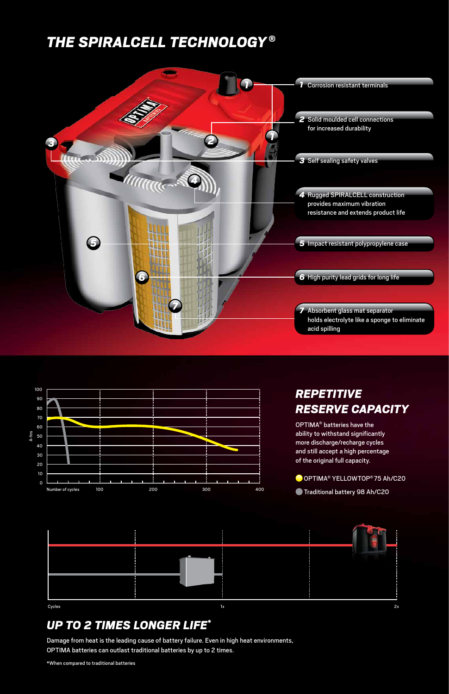## *THE SPIRALCELL TECHNOLOGY ®*





#### *Repetitive reserve capacity*

OPTIMA® batteries have the ability to withstand significantly more discharge/recharge cycles and still accept a high percentage of the original full capacity.

O OPTIMA<sup>®</sup> YELLOWTOP<sup>®</sup> 75 Ah/C20



#### *Up to 2 times longer life\**

Damage from heat is the leading cause of battery failure. Even in high heat environments, OPTIMA batteries can outlast traditional batteries by up to 2 times.